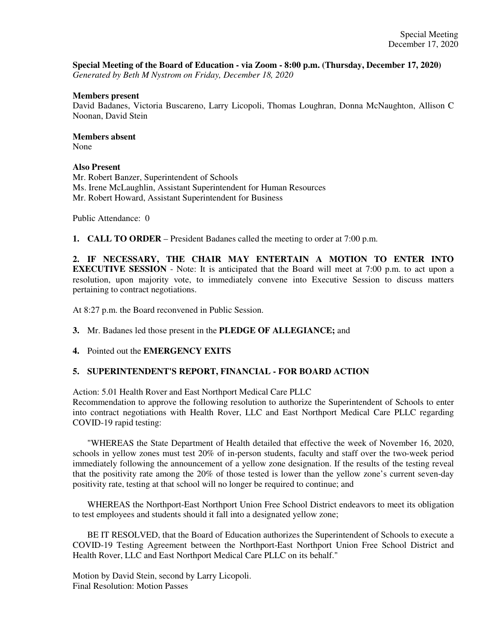# **Special Meeting of the Board of Education - via Zoom - 8:00 p.m. (Thursday, December 17, 2020)**

*Generated by Beth M Nystrom on Friday, December 18, 2020*

#### **Members present**

David Badanes, Victoria Buscareno, Larry Licopoli, Thomas Loughran, Donna McNaughton, Allison C Noonan, David Stein

## **Members absent**

None

### **Also Present**

Mr. Robert Banzer, Superintendent of Schools Ms. Irene McLaughlin, Assistant Superintendent for Human Resources Mr. Robert Howard, Assistant Superintendent for Business

Public Attendance: 0

**1. CALL TO ORDER** – President Badanes called the meeting to order at 7:00 p.m.

**2. IF NECESSARY, THE CHAIR MAY ENTERTAIN A MOTION TO ENTER INTO EXECUTIVE SESSION** - Note: It is anticipated that the Board will meet at 7:00 p.m. to act upon a resolution, upon majority vote, to immediately convene into Executive Session to discuss matters pertaining to contract negotiations.

At 8:27 p.m. the Board reconvened in Public Session.

**3.** Mr. Badanes led those present in the **PLEDGE OF ALLEGIANCE;** and

**4.** Pointed out the **EMERGENCY EXITS**

# **5. SUPERINTENDENT'S REPORT, FINANCIAL - FOR BOARD ACTION**

Action: 5.01 Health Rover and East Northport Medical Care PLLC

Recommendation to approve the following resolution to authorize the Superintendent of Schools to enter into contract negotiations with Health Rover, LLC and East Northport Medical Care PLLC regarding COVID-19 rapid testing:

 "WHEREAS the State Department of Health detailed that effective the week of November 16, 2020, schools in yellow zones must test 20% of in-person students, faculty and staff over the two-week period immediately following the announcement of a yellow zone designation. If the results of the testing reveal that the positivity rate among the 20% of those tested is lower than the yellow zone's current seven-day positivity rate, testing at that school will no longer be required to continue; and

 WHEREAS the Northport-East Northport Union Free School District endeavors to meet its obligation to test employees and students should it fall into a designated yellow zone;

 BE IT RESOLVED, that the Board of Education authorizes the Superintendent of Schools to execute a COVID-19 Testing Agreement between the Northport-East Northport Union Free School District and Health Rover, LLC and East Northport Medical Care PLLC on its behalf."

Motion by David Stein, second by Larry Licopoli. Final Resolution: Motion Passes